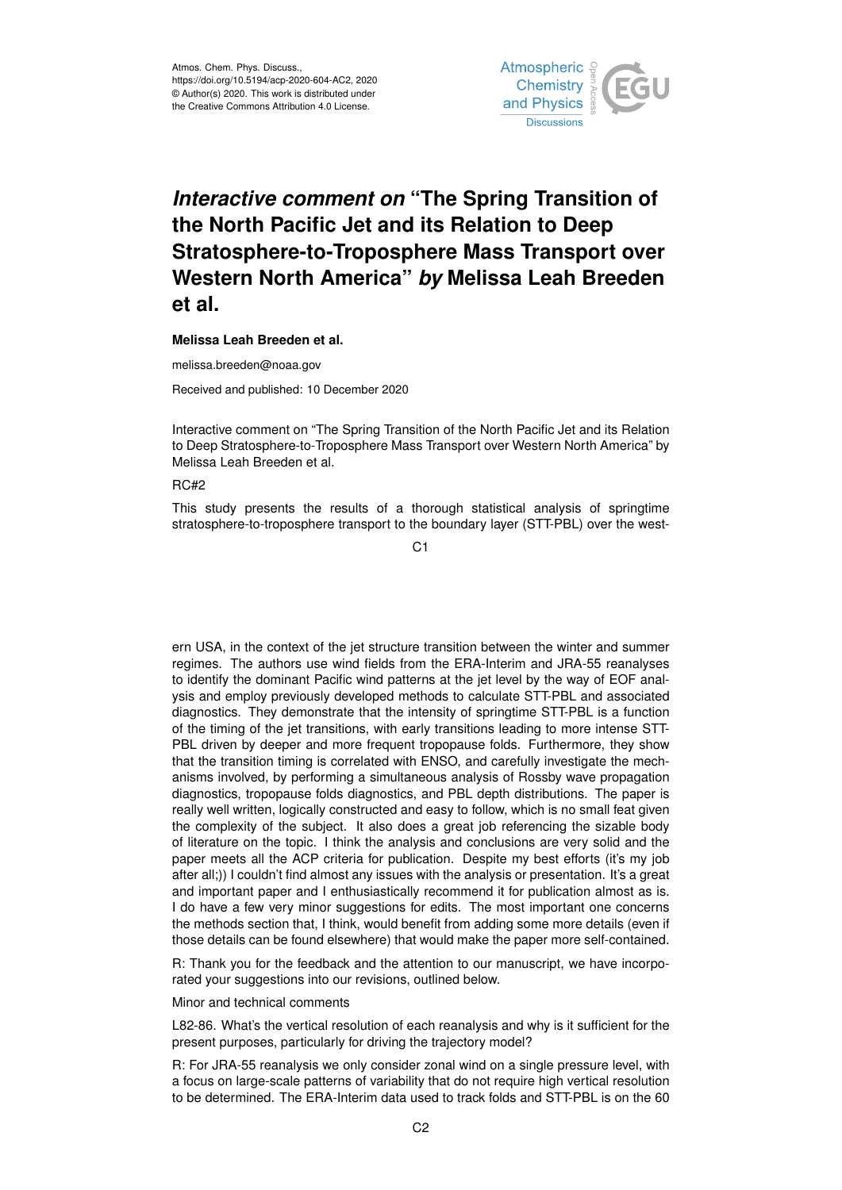

## *Interactive comment on* **"The Spring Transition of the North Pacific Jet and its Relation to Deep Stratosphere-to-Troposphere Mass Transport over Western North America"** *by* **Melissa Leah Breeden et al.**

## **Melissa Leah Breeden et al.**

melissa.breeden@noaa.gov

Received and published: 10 December 2020

Interactive comment on "The Spring Transition of the North Pacific Jet and its Relation to Deep Stratosphere-to-Troposphere Mass Transport over Western North America" by Melissa Leah Breeden et al.

## RC#2

This study presents the results of a thorough statistical analysis of springtime stratosphere-to-troposphere transport to the boundary layer (STT-PBL) over the west-

 $C<sub>1</sub>$ 

ern USA, in the context of the jet structure transition between the winter and summer regimes. The authors use wind fields from the ERA-Interim and JRA-55 reanalyses to identify the dominant Pacific wind patterns at the jet level by the way of EOF analysis and employ previously developed methods to calculate STT-PBL and associated diagnostics. They demonstrate that the intensity of springtime STT-PBL is a function of the timing of the jet transitions, with early transitions leading to more intense STT-PBL driven by deeper and more frequent tropopause folds. Furthermore, they show that the transition timing is correlated with ENSO, and carefully investigate the mechanisms involved, by performing a simultaneous analysis of Rossby wave propagation diagnostics, tropopause folds diagnostics, and PBL depth distributions. The paper is really well written, logically constructed and easy to follow, which is no small feat given the complexity of the subject. It also does a great job referencing the sizable body of literature on the topic. I think the analysis and conclusions are very solid and the paper meets all the ACP criteria for publication. Despite my best efforts (it's my job after all;)) I couldn't find almost any issues with the analysis or presentation. It's a great and important paper and I enthusiastically recommend it for publication almost as is. I do have a few very minor suggestions for edits. The most important one concerns the methods section that, I think, would benefit from adding some more details (even if those details can be found elsewhere) that would make the paper more self-contained.

R: Thank you for the feedback and the attention to our manuscript, we have incorporated your suggestions into our revisions, outlined below.

Minor and technical comments

L82-86. What's the vertical resolution of each reanalysis and why is it sufficient for the present purposes, particularly for driving the trajectory model?

R: For JRA-55 reanalysis we only consider zonal wind on a single pressure level, with a focus on large-scale patterns of variability that do not require high vertical resolution to be determined. The ERA-Interim data used to track folds and STT-PBL is on the 60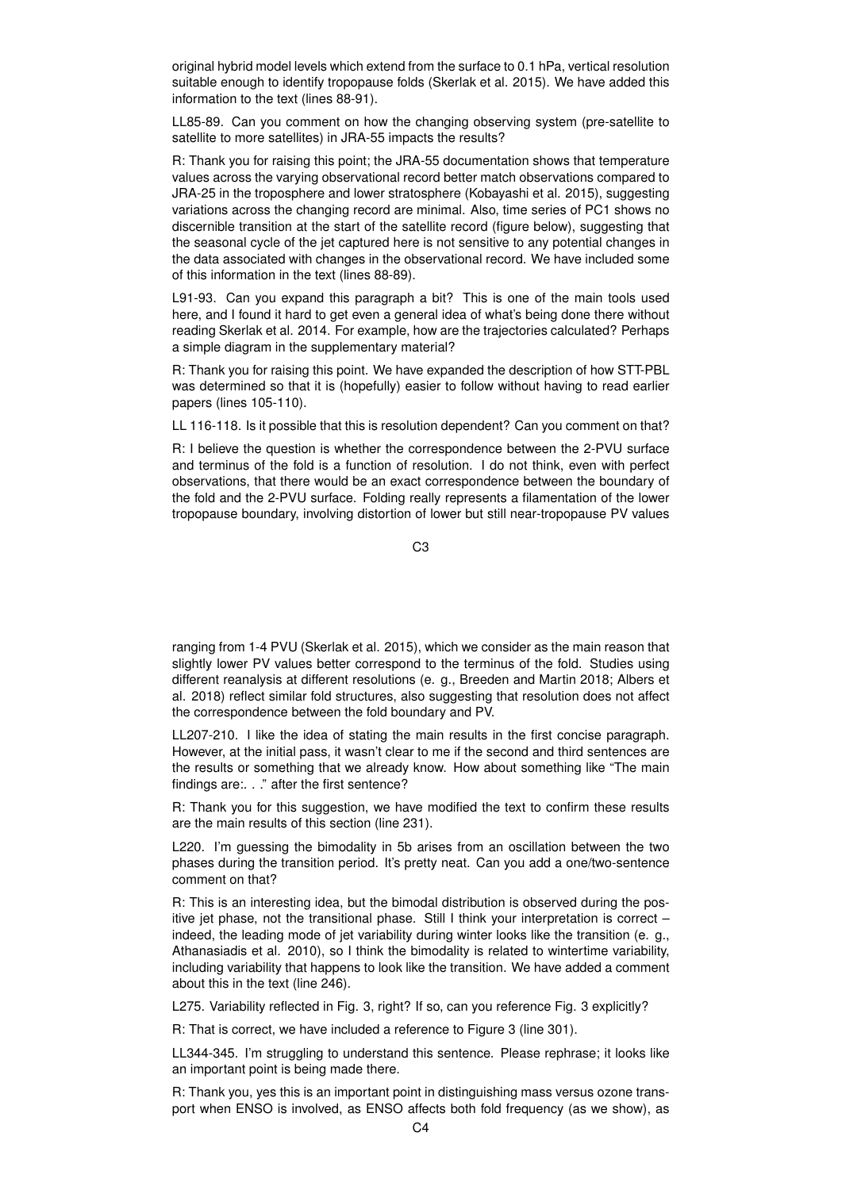original hybrid model levels which extend from the surface to 0.1 hPa, vertical resolution suitable enough to identify tropopause folds (Skerlak et al. 2015). We have added this information to the text (lines 88-91).

LL85-89. Can you comment on how the changing observing system (pre-satellite to satellite to more satellites) in JRA-55 impacts the results?

R: Thank you for raising this point; the JRA-55 documentation shows that temperature values across the varying observational record better match observations compared to JRA-25 in the troposphere and lower stratosphere (Kobayashi et al. 2015), suggesting variations across the changing record are minimal. Also, time series of PC1 shows no discernible transition at the start of the satellite record (figure below), suggesting that the seasonal cycle of the jet captured here is not sensitive to any potential changes in the data associated with changes in the observational record. We have included some of this information in the text (lines 88-89).

L91-93. Can you expand this paragraph a bit? This is one of the main tools used here, and I found it hard to get even a general idea of what's being done there without reading Skerlak et al. 2014. For example, how are the trajectories calculated? Perhaps a simple diagram in the supplementary material?

R: Thank you for raising this point. We have expanded the description of how STT-PBL was determined so that it is (hopefully) easier to follow without having to read earlier papers (lines 105-110).

LL 116-118. Is it possible that this is resolution dependent? Can you comment on that?

R: I believe the question is whether the correspondence between the 2-PVU surface and terminus of the fold is a function of resolution. I do not think, even with perfect observations, that there would be an exact correspondence between the boundary of the fold and the 2-PVU surface. Folding really represents a filamentation of the lower tropopause boundary, involving distortion of lower but still near-tropopause PV values

 $C<sub>3</sub>$ 

ranging from 1-4 PVU (Skerlak et al. 2015), which we consider as the main reason that slightly lower PV values better correspond to the terminus of the fold. Studies using different reanalysis at different resolutions (e. g., Breeden and Martin 2018; Albers et al. 2018) reflect similar fold structures, also suggesting that resolution does not affect the correspondence between the fold boundary and PV.

LL207-210. I like the idea of stating the main results in the first concise paragraph. However, at the initial pass, it wasn't clear to me if the second and third sentences are the results or something that we already know. How about something like "The main findings are:. . ." after the first sentence?

R: Thank you for this suggestion, we have modified the text to confirm these results are the main results of this section (line 231).

L220. I'm guessing the bimodality in 5b arises from an oscillation between the two phases during the transition period. It's pretty neat. Can you add a one/two-sentence comment on that?

R: This is an interesting idea, but the bimodal distribution is observed during the positive jet phase, not the transitional phase. Still I think your interpretation is correct – indeed, the leading mode of jet variability during winter looks like the transition (e. g., Athanasiadis et al. 2010), so I think the bimodality is related to wintertime variability, including variability that happens to look like the transition. We have added a comment about this in the text (line 246).

L275. Variability reflected in Fig. 3, right? If so, can you reference Fig. 3 explicitly?

R: That is correct, we have included a reference to Figure 3 (line 301).

LL344-345. I'm struggling to understand this sentence. Please rephrase; it looks like an important point is being made there.

R: Thank you, yes this is an important point in distinguishing mass versus ozone transport when ENSO is involved, as ENSO affects both fold frequency (as we show), as